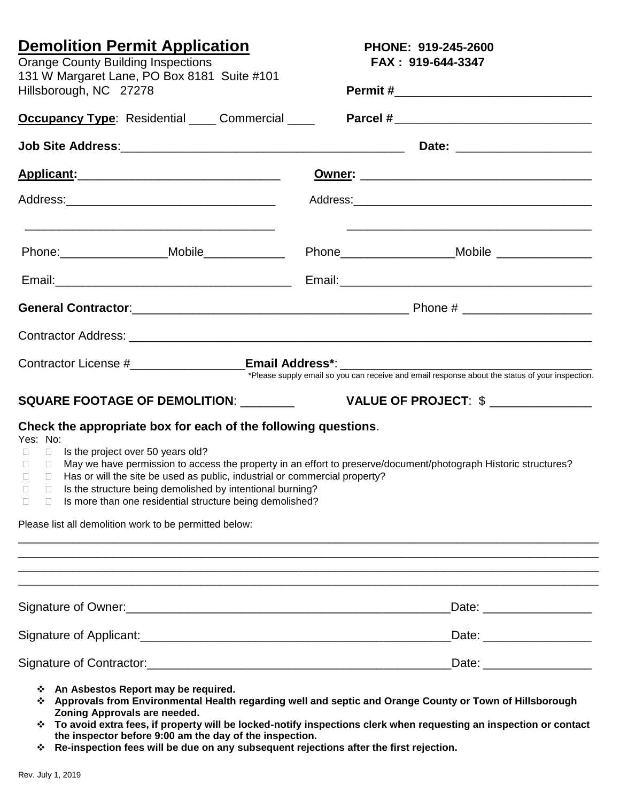| <b>Orange County Building Inspections</b>                             | <b>Demolition Permit Application</b><br>131 W Margaret Lane, PO Box 8181 Suite #101                                                                                                                                                                                                                                                                                         |  | PHONE: 919-245-2600<br>FAX: 919-644-3347<br><b>Occupancy Type:</b> Residential Commercial <b>Commercial Reprise Parcel #</b> |  |
|-----------------------------------------------------------------------|-----------------------------------------------------------------------------------------------------------------------------------------------------------------------------------------------------------------------------------------------------------------------------------------------------------------------------------------------------------------------------|--|------------------------------------------------------------------------------------------------------------------------------|--|
| Hillsborough, NC 27278                                                |                                                                                                                                                                                                                                                                                                                                                                             |  |                                                                                                                              |  |
|                                                                       |                                                                                                                                                                                                                                                                                                                                                                             |  |                                                                                                                              |  |
|                                                                       |                                                                                                                                                                                                                                                                                                                                                                             |  |                                                                                                                              |  |
|                                                                       | <u>Applicant: ___________________________________</u>                                                                                                                                                                                                                                                                                                                       |  |                                                                                                                              |  |
|                                                                       |                                                                                                                                                                                                                                                                                                                                                                             |  |                                                                                                                              |  |
|                                                                       | Phone:______________________Mobile_______________                                                                                                                                                                                                                                                                                                                           |  | Phone ___________________________Mobile __________________                                                                   |  |
|                                                                       |                                                                                                                                                                                                                                                                                                                                                                             |  |                                                                                                                              |  |
|                                                                       |                                                                                                                                                                                                                                                                                                                                                                             |  |                                                                                                                              |  |
|                                                                       |                                                                                                                                                                                                                                                                                                                                                                             |  |                                                                                                                              |  |
|                                                                       |                                                                                                                                                                                                                                                                                                                                                                             |  |                                                                                                                              |  |
|                                                                       | <b>SQUARE FOOTAGE OF DEMOLITION: ________</b>                                                                                                                                                                                                                                                                                                                               |  | VALUE OF PROJECT: \$ _______________                                                                                         |  |
| Yes: No:<br>$\Box$<br>$\Box$<br>П.<br>$\Box$<br>$\Box$<br>$\Box$<br>⊔ | Check the appropriate box for each of the following questions.<br>Is the project over 50 years old?<br>Has or will the site be used as public, industrial or commercial property?<br>$\Box$ Is the structure being demolished by intentional burning?<br>Is more than one residential structure being demolished?<br>Please list all demolition work to be permitted below: |  | May we have permission to access the property in an effort to preserve/document/photograph Historic structures?              |  |
|                                                                       |                                                                                                                                                                                                                                                                                                                                                                             |  | Date: ___________________                                                                                                    |  |
|                                                                       |                                                                                                                                                                                                                                                                                                                                                                             |  |                                                                                                                              |  |
|                                                                       |                                                                                                                                                                                                                                                                                                                                                                             |  | Date: ___________________                                                                                                    |  |
|                                                                       | ❖ An Asbestos Report may be required.                                                                                                                                                                                                                                                                                                                                       |  | Approvals from Environmental Health regarding well and sentic and Orange County or Town of Hillsborough                      |  |

- **Approvals from Environmental Health regarding well and septic and Orange County or Town of Hillsborough Zoning Approvals are needed.**
- **To avoid extra fees, if property will be locked-notify inspections clerk when requesting an inspection or contact the inspector before 9:00 am the day of the inspection.**
- **Re-inspection fees will be due on any subsequent rejections after the first rejection.**